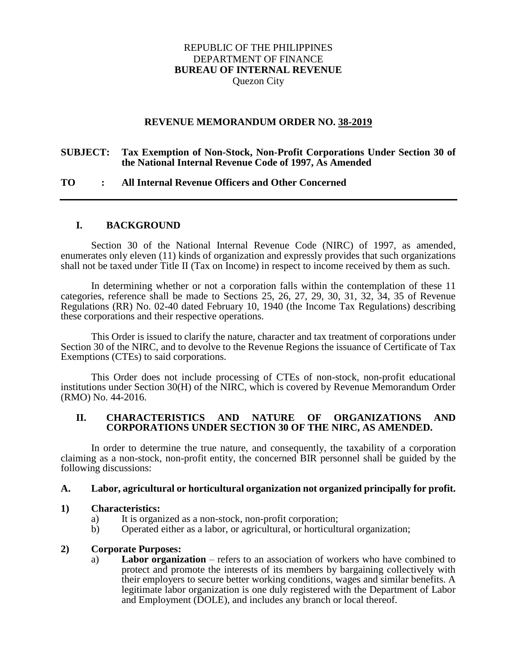# REPUBLIC OF THE PHILIPPINES DEPARTMENT OF FINANCE **BUREAU OF INTERNAL REVENUE** Quezon City

#### **REVENUE MEMORANDUM ORDER NO. 38-2019**

#### **SUBJECT: Tax Exemption of Non-Stock, Non-Profit Corporations Under Section 30 of the National Internal Revenue Code of 1997, As Amended**

### **TO : All Internal Revenue Officers and Other Concerned**

#### **I. BACKGROUND**

Section 30 of the National Internal Revenue Code (NIRC) of 1997, as amended, enumerates only eleven (11) kinds of organization and expressly provides that such organizations shall not be taxed under Title II (Tax on Income) in respect to income received by them as such.

In determining whether or not a corporation falls within the contemplation of these 11 categories, reference shall be made to Sections 25, 26, 27, 29, 30, 31, 32, 34, 35 of Revenue Regulations (RR) No. 02-40 dated February 10, 1940 (the Income Tax Regulations) describing these corporations and their respective operations.

This Order is issued to clarify the nature, character and tax treatment of corporations under Section 30 of the NIRC, and to devolve to the Revenue Regions the issuance of Certificate of Tax Exemptions (CTEs) to said corporations.

This Order does not include processing of CTEs of non-stock, non-profit educational institutions under Section 30(H) of the NIRC, which is covered by Revenue Memorandum Order (RMO) No. 44-2016.

#### **II. CHARACTERISTICS AND NATURE OF ORGANIZATIONS AND CORPORATIONS UNDER SECTION 30 OF THE NIRC, AS AMENDED.**

In order to determine the true nature, and consequently, the taxability of a corporation claiming as a non-stock, non-profit entity, the concerned BIR personnel shall be guided by the following discussions:

#### **A. Labor, agricultural or horticultural organization not organized principally for profit.**

#### **1) Characteristics:**

- 
- a) It is organized as a non-stock, non-profit corporation;<br>b) Operated either as a labor, or agricultural, or horticultu b) Operated either as a labor, or agricultural, or horticultural organization;

#### **2) Corporate Purposes:**

a) **Labor organization** – refers to an association of workers who have combined to protect and promote the interests of its members by bargaining collectively with their employers to secure better working conditions, wages and similar benefits. A legitimate labor organization is one duly registered with the Department of Labor and Employment (DOLE), and includes any branch or local thereof.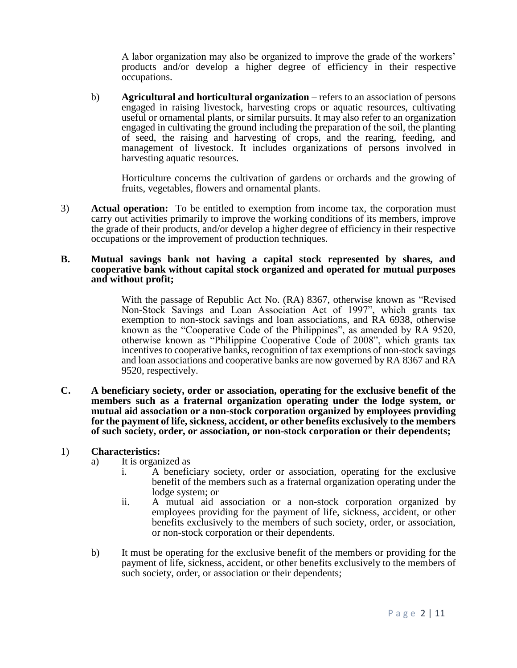A labor organization may also be organized to improve the grade of the workers' products and/or develop a higher degree of efficiency in their respective occupations.

b) **Agricultural and horticultural organization** – refers to an association of persons engaged in raising livestock, harvesting crops or aquatic resources, cultivating useful or ornamental plants, or similar pursuits. It may also refer to an organization engaged in cultivating the ground including the preparation of the soil, the planting of seed, the raising and harvesting of crops, and the rearing, feeding, and management of livestock. It includes organizations of persons involved in harvesting aquatic resources.

Horticulture concerns the cultivation of gardens or orchards and the growing of fruits, vegetables, flowers and ornamental plants.

3) **Actual operation:** To be entitled to exemption from income tax, the corporation must carry out activities primarily to improve the working conditions of its members, improve the grade of their products, and/or develop a higher degree of efficiency in their respective occupations or the improvement of production techniques.

#### **B. Mutual savings bank not having a capital stock represented by shares, and cooperative bank without capital stock organized and operated for mutual purposes and without profit;**

With the passage of Republic Act No. (RA) 8367, otherwise known as "Revised Non-Stock Savings and Loan Association Act of 1997", which grants tax exemption to non-stock savings and loan associations, and RA 6938, otherwise known as the "Cooperative Code of the Philippines", as amended by RA 9520, otherwise known as "Philippine Cooperative Code of 2008", which grants tax incentives to cooperative banks, recognition of tax exemptions of non-stock savings and loan associations and cooperative banks are now governed by RA 8367 and RA 9520, respectively.

**C. A beneficiary society, order or association, operating for the exclusive benefit of the members such as a fraternal organization operating under the lodge system, or mutual aid association or a non-stock corporation organized by employees providing for the payment of life, sickness, accident, or other benefits exclusively to the members of such society, order, or association, or non-stock corporation or their dependents;**

#### 1) **Characteristics:**

- a) It is organized as
	- i. A beneficiary society, order or association, operating for the exclusive benefit of the members such as a fraternal organization operating under the lodge system; or
	- ii. A mutual aid association or a non-stock corporation organized by employees providing for the payment of life, sickness, accident, or other benefits exclusively to the members of such society, order, or association, or non-stock corporation or their dependents.
- b) It must be operating for the exclusive benefit of the members or providing for the payment of life, sickness, accident, or other benefits exclusively to the members of such society, order, or association or their dependents;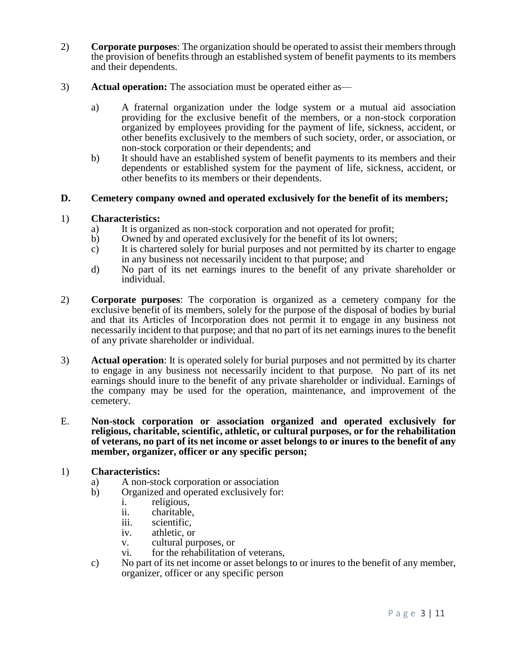- 2) **Corporate purposes**: The organization should be operated to assist their members through the provision of benefits through an established system of benefit payments to its members and their dependents.
- 3) **Actual operation:** The association must be operated either as
	- a) A fraternal organization under the lodge system or a mutual aid association providing for the exclusive benefit of the members, or a non-stock corporation organized by employees providing for the payment of life, sickness, accident, or other benefits exclusively to the members of such society, order, or association, or non-stock corporation or their dependents; and
	- b) It should have an established system of benefit payments to its members and their dependents or established system for the payment of life, sickness, accident, or other benefits to its members or their dependents.

### **D. Cemetery company owned and operated exclusively for the benefit of its members;**

### 1) **Characteristics:**

- a) It is organized as non-stock corporation and not operated for profit;
- b) Owned by and operated exclusively for the benefit of its lot owners;
- c) It is chartered solely for burial purposes and not permitted by its charter to engage in any business not necessarily incident to that purpose; and
- d) No part of its net earnings inures to the benefit of any private shareholder or individual.
- 2) **Corporate purposes**: The corporation is organized as a cemetery company for the exclusive benefit of its members, solely for the purpose of the disposal of bodies by burial and that its Articles of Incorporation does not permit it to engage in any business not necessarily incident to that purpose; and that no part of its net earnings inures to the benefit of any private shareholder or individual.
- 3) **Actual operation**: It is operated solely for burial purposes and not permitted by its charter to engage in any business not necessarily incident to that purpose. No part of its net earnings should inure to the benefit of any private shareholder or individual. Earnings of the company may be used for the operation, maintenance, and improvement of the cemetery.
- E. **Non-stock corporation or association organized and operated exclusively for religious, charitable, scientific, athletic, or cultural purposes, or for the rehabilitation of veterans, no part of its net income or asset belongs to or inures to the benefit of any member, organizer, officer or any specific person;**

#### 1) **Characteristics:**

- a) A non-stock corporation or association
- b) Organized and operated exclusively for:
	- i. religious,
	- ii. charitable,
	- iii. scientific,
	- iv. athletic, or
	- v. cultural purposes, or
	- vi. for the rehabilitation of veterans,
- c) No part of its net income or asset belongs to or inures to the benefit of any member, organizer, officer or any specific person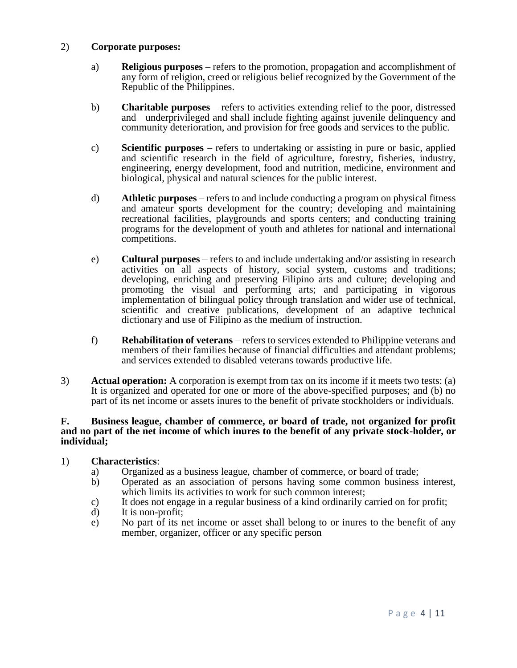## 2) **Corporate purposes:**

- a) **Religious purposes** refers to the promotion, propagation and accomplishment of any form of religion, creed or religious belief recognized by the Government of the Republic of the Philippines.
- b) **Charitable purposes** refers to activities extending relief to the poor, distressed and underprivileged and shall include fighting against juvenile delinquency and community deterioration, and provision for free goods and services to the public.
- c) **Scientific purposes** refers to undertaking or assisting in pure or basic, applied and scientific research in the field of agriculture, forestry, fisheries, industry, engineering, energy development, food and nutrition, medicine, environment and biological, physical and natural sciences for the public interest.
- d) **Athletic purposes** refers to and include conducting a program on physical fitness and amateur sports development for the country; developing and maintaining recreational facilities, playgrounds and sports centers; and conducting training programs for the development of youth and athletes for national and international competitions.
- e) **Cultural purposes** refers to and include undertaking and/or assisting in research activities on all aspects of history, social system, customs and traditions; developing, enriching and preserving Filipino arts and culture; developing and promoting the visual and performing arts; and participating in vigorous implementation of bilingual policy through translation and wider use of technical, scientific and creative publications, development of an adaptive technical dictionary and use of Filipino as the medium of instruction.
- f) **Rehabilitation of veterans** refers to services extended to Philippine veterans and members of their families because of financial difficulties and attendant problems; and services extended to disabled veterans towards productive life.
- 3) **Actual operation:** A corporation is exempt from tax on its income if it meets two tests: (a) It is organized and operated for one or more of the above-specified purposes; and (b) no part of its net income or assets inures to the benefit of private stockholders or individuals.

#### **F. Business league, chamber of commerce, or board of trade, not organized for profit and no part of the net income of which inures to the benefit of any private stock-holder, or individual;**

## 1) **Characteristics**:

- a) Organized as a business league, chamber of commerce, or board of trade;<br>b) Operated as an association of persons having some common business
- b) Operated as an association of persons having some common business interest, which limits its activities to work for such common interest;
- c) It does not engage in a regular business of a kind ordinarily carried on for profit;
- d) It is non-profit;
- e) No part of its net income or asset shall belong to or inures to the benefit of any member, organizer, officer or any specific person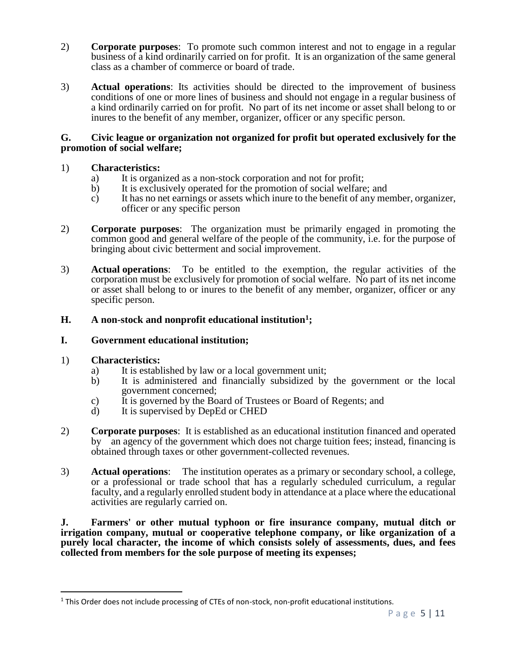- 2) **Corporate purposes**: To promote such common interest and not to engage in a regular business of a kind ordinarily carried on for profit. It is an organization of the same general class as a chamber of commerce or board of trade.
- 3) **Actual operations**: Its activities should be directed to the improvement of business conditions of one or more lines of business and should not engage in a regular business of a kind ordinarily carried on for profit. No part of its net income or asset shall belong to or inures to the benefit of any member, organizer, officer or any specific person.

### **G. Civic league or organization not organized for profit but operated exclusively for the promotion of social welfare;**

# 1) **Characteristics:**

- a) It is organized as a non-stock corporation and not for profit;
- b) It is exclusively operated for the promotion of social welfare; and
- c) It has no net earnings or assets which inure to the benefit of any member, organizer, officer or any specific person
- 2) **Corporate purposes**: The organization must be primarily engaged in promoting the common good and general welfare of the people of the community, i.e. for the purpose of bringing about civic betterment and social improvement.
- 3) **Actual operations**: To be entitled to the exemption, the regular activities of the corporation must be exclusively for promotion of social welfare. No part of its net income or asset shall belong to or inures to the benefit of any member, organizer, officer or any specific person.

# **H. A non-stock and nonprofit educational institution<sup>1</sup> ;**

## **I. Government educational institution;**

# 1) **Characteristics:**

 $\overline{a}$ 

- a) It is established by law or a local government unit;
- b) It is administered and financially subsidized by the government or the local government concerned;
- c) It is governed by the Board of Trustees or Board of Regents; and
- d) It is supervised by DepEd or CHED
- 2) **Corporate purposes**: It is established as an educational institution financed and operated by an agency of the government which does not charge tuition fees; instead, financing is obtained through taxes or other government-collected revenues.
- 3) **Actual operations**: The institution operates as a primary or secondary school, a college, or a professional or trade school that has a regularly scheduled curriculum, a regular faculty, and a regularly enrolled student body in attendance at a place where the educational activities are regularly carried on.

**J. Farmers' or other mutual typhoon or fire insurance company, mutual ditch or irrigation company, mutual or cooperative telephone company, or like organization of a purely local character, the income of which consists solely of assessments, dues, and fees collected from members for the sole purpose of meeting its expenses;** 

<sup>&</sup>lt;sup>1</sup> This Order does not include processing of CTEs of non-stock, non-profit educational institutions.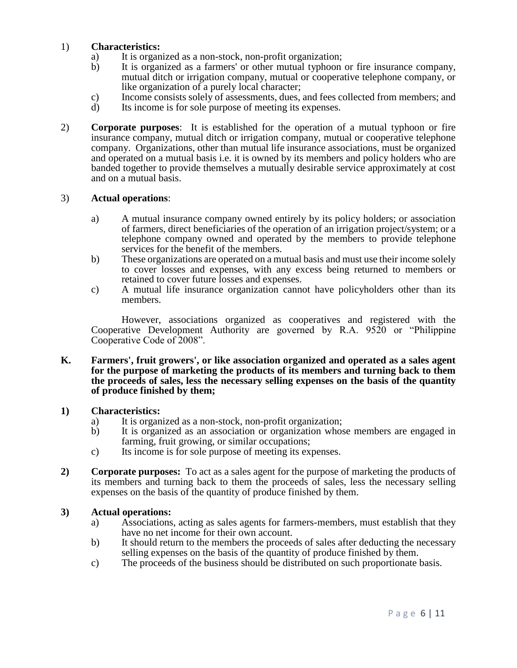# 1) **Characteristics:**

- a) It is organized as a non-stock, non-profit organization;
- b) It is organized as a farmers' or other mutual typhoon or fire insurance company, mutual ditch or irrigation company, mutual or cooperative telephone company, or like organization of a purely local character;
- c) Income consists solely of assessments, dues, and fees collected from members; and d) Its income is for sole purpose of meeting its expenses.
- Its income is for sole purpose of meeting its expenses.
- 2) **Corporate purposes**: It is established for the operation of a mutual typhoon or fire insurance company, mutual ditch or irrigation company, mutual or cooperative telephone company. Organizations, other than mutual life insurance associations, must be organized and operated on a mutual basis i.e. it is owned by its members and policy holders who are banded together to provide themselves a mutually desirable service approximately at cost and on a mutual basis.

### 3) **Actual operations**:

- a) A mutual insurance company owned entirely by its policy holders; or association of farmers, direct beneficiaries of the operation of an irrigation project/system; or a telephone company owned and operated by the members to provide telephone services for the benefit of the members.
- b) These organizations are operated on a mutual basis and must use their income solely to cover losses and expenses, with any excess being returned to members or retained to cover future losses and expenses.
- c) A mutual life insurance organization cannot have policyholders other than its members.

However, associations organized as cooperatives and registered with the Cooperative Development Authority are governed by R.A. 9520 or "Philippine Cooperative Code of 2008".

**K. Farmers', fruit growers', or like association organized and operated as a sales agent for the purpose of marketing the products of its members and turning back to them the proceeds of sales, less the necessary selling expenses on the basis of the quantity of produce finished by them;**

#### **1) Characteristics:**

- a) It is organized as a non-stock, non-profit organization;<br>b) It is organized as an association or organization whos
- It is organized as an association or organization whose members are engaged in farming, fruit growing, or similar occupations;
- c) Its income is for sole purpose of meeting its expenses.
- **2) Corporate purposes:** To act as a sales agent for the purpose of marketing the products of its members and turning back to them the proceeds of sales, less the necessary selling expenses on the basis of the quantity of produce finished by them.

## **3) Actual operations:**

- a) Associations, acting as sales agents for farmers-members, must establish that they have no net income for their own account.
- b) It should return to the members the proceeds of sales after deducting the necessary selling expenses on the basis of the quantity of produce finished by them.
- c) The proceeds of the business should be distributed on such proportionate basis.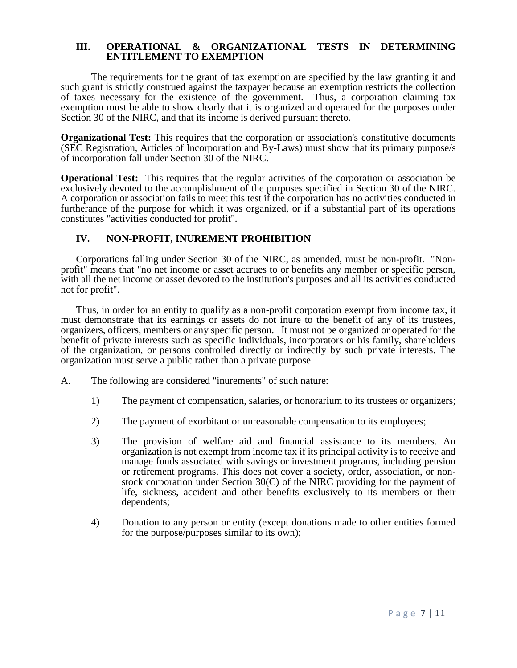### **III. OPERATIONAL & ORGANIZATIONAL TESTS IN DETERMINING ENTITLEMENT TO EXEMPTION**

The requirements for the grant of tax exemption are specified by the law granting it and such grant is strictly construed against the taxpayer because an exemption restricts the collection of taxes necessary for the existence of the government. Thus, a corporation claiming tax exemption must be able to show clearly that it is organized and operated for the purposes under Section 30 of the NIRC, and that its income is derived pursuant thereto.

**Organizational Test:** This requires that the corporation or association's constitutive documents (SEC Registration, Articles of Incorporation and By-Laws) must show that its primary purpose/s of incorporation fall under Section 30 of the NIRC.

**Operational Test:** This requires that the regular activities of the corporation or association be exclusively devoted to the accomplishment of the purposes specified in Section 30 of the NIRC. A corporation or association fails to meet this test if the corporation has no activities conducted in furtherance of the purpose for which it was organized, or if a substantial part of its operations constitutes "activities conducted for profit".

# **IV. NON-PROFIT, INUREMENT PROHIBITION**

Corporations falling under Section 30 of the NIRC, as amended, must be non-profit. "Nonprofit" means that "no net income or asset accrues to or benefits any member or specific person, with all the net income or asset devoted to the institution's purposes and all its activities conducted not for profit".

Thus, in order for an entity to qualify as a non-profit corporation exempt from income tax, it must demonstrate that its earnings or assets do not inure to the benefit of any of its trustees, organizers, officers, members or any specific person. It must not be organized or operated for the benefit of private interests such as specific individuals, incorporators or his family, shareholders of the organization, or persons controlled directly or indirectly by such private interests. The organization must serve a public rather than a private purpose.

- A. The following are considered "inurements" of such nature:
	- 1) The payment of compensation, salaries, or honorarium to its trustees or organizers;
	- 2) The payment of exorbitant or unreasonable compensation to its employees;
	- 3) The provision of welfare aid and financial assistance to its members. An organization is not exempt from income tax if its principal activity is to receive and manage funds associated with savings or investment programs, including pension or retirement programs. This does not cover a society, order, association, or nonstock corporation under Section 30(C) of the NIRC providing for the payment of life, sickness, accident and other benefits exclusively to its members or their dependents;
	- 4) Donation to any person or entity (except donations made to other entities formed for the purpose/purposes similar to its own);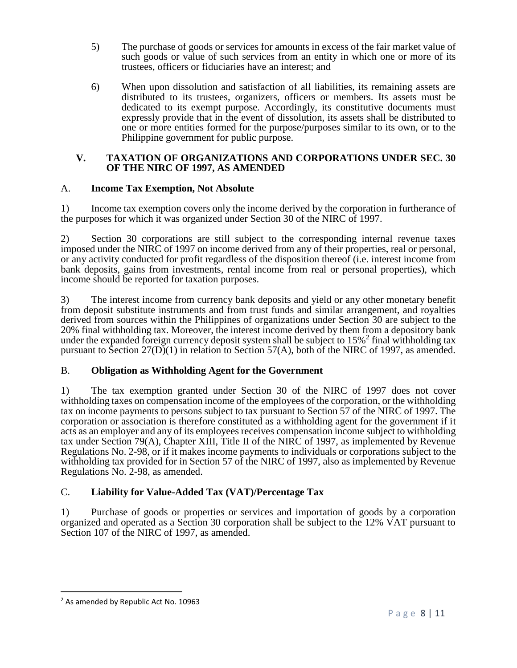- 5) The purchase of goods or services for amounts in excess of the fair market value of such goods or value of such services from an entity in which one or more of its trustees, officers or fiduciaries have an interest; and
- 6) When upon dissolution and satisfaction of all liabilities, its remaining assets are distributed to its trustees, organizers, officers or members. Its assets must be dedicated to its exempt purpose. Accordingly, its constitutive documents must expressly provide that in the event of dissolution, its assets shall be distributed to one or more entities formed for the purpose/purposes similar to its own, or to the Philippine government for public purpose.

## **V. TAXATION OF ORGANIZATIONS AND CORPORATIONS UNDER SEC. 30 OF THE NIRC OF 1997, AS AMENDED**

# A. **Income Tax Exemption, Not Absolute**

1) Income tax exemption covers only the income derived by the corporation in furtherance of the purposes for which it was organized under Section 30 of the NIRC of 1997.

2) Section 30 corporations are still subject to the corresponding internal revenue taxes imposed under the NIRC of 1997 on income derived from any of their properties, real or personal, or any activity conducted for profit regardless of the disposition thereof (i.e. interest income from bank deposits, gains from investments, rental income from real or personal properties), which income should be reported for taxation purposes.

3) The interest income from currency bank deposits and yield or any other monetary benefit from deposit substitute instruments and from trust funds and similar arrangement, and royalties derived from sources within the Philippines of organizations under Section 30 are subject to the 20% final withholding tax. Moreover, the interest income derived by them from a depository bank under the expanded foreign currency deposit system shall be subject to  $15\%$ <sup>2</sup> final withholding tax pursuant to Section  $27(D)(1)$  in relation to Section 57(A), both of the NIRC of 1997, as amended.

# B. **Obligation as Withholding Agent for the Government**

1) The tax exemption granted under Section 30 of the NIRC of 1997 does not cover withholding taxes on compensation income of the employees of the corporation, or the withholding tax on income payments to persons subject to tax pursuant to Section 57 of the NIRC of 1997. The corporation or association is therefore constituted as a withholding agent for the government if it acts as an employer and any of its employees receives compensation income subject to withholding tax under Section 79(A), Chapter XIII, Title II of the NIRC of 1997, as implemented by Revenue Regulations No. 2-98, or if it makes income payments to individuals or corporations subject to the withholding tax provided for in Section 57 of the NIRC of 1997, also as implemented by Revenue Regulations No. 2-98, as amended.

# C. **Liability for Value-Added Tax (VAT)/Percentage Tax**

1) Purchase of goods or properties or services and importation of goods by a corporation organized and operated as a Section 30 corporation shall be subject to the 12% VAT pursuant to Section 107 of the NIRC of 1997, as amended.

 $\overline{a}$ 

<sup>&</sup>lt;sup>2</sup> As amended by Republic Act No. 10963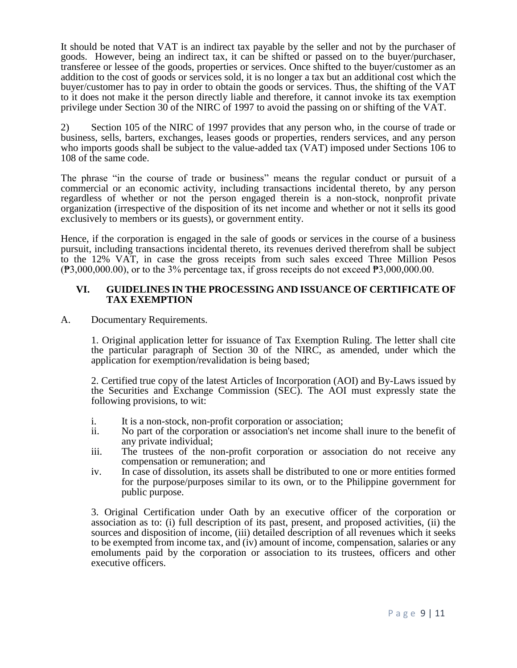It should be noted that VAT is an indirect tax payable by the seller and not by the purchaser of goods. However, being an indirect tax, it can be shifted or passed on to the buyer/purchaser, transferee or lessee of the goods, properties or services. Once shifted to the buyer/customer as an addition to the cost of goods or services sold, it is no longer a tax but an additional cost which the buyer/customer has to pay in order to obtain the goods or services. Thus, the shifting of the VAT to it does not make it the person directly liable and therefore, it cannot invoke its tax exemption privilege under Section 30 of the NIRC of 1997 to avoid the passing on or shifting of the VAT.

2) Section 105 of the NIRC of 1997 provides that any person who, in the course of trade or business, sells, barters, exchanges, leases goods or properties, renders services, and any person who imports goods shall be subject to the value-added tax (VAT) imposed under Sections 106 to 108 of the same code.

The phrase "in the course of trade or business" means the regular conduct or pursuit of a commercial or an economic activity, including transactions incidental thereto, by any person regardless of whether or not the person engaged therein is a non-stock, nonprofit private organization (irrespective of the disposition of its net income and whether or not it sells its good exclusively to members or its guests), or government entity.

Hence, if the corporation is engaged in the sale of goods or services in the course of a business pursuit, including transactions incidental thereto, its revenues derived therefrom shall be subject to the 12% VAT, in case the gross receipts from such sales exceed Three Million Pesos  $(\overline{P}3,000,000.00)$ , or to the 3% percentage tax, if gross receipts do not exceed  $\overline{P}3,000,000.00$ .

### **VI. GUIDELINES IN THE PROCESSING AND ISSUANCE OF CERTIFICATE OF TAX EXEMPTION**

A. Documentary Requirements.

1. Original application letter for issuance of Tax Exemption Ruling. The letter shall cite the particular paragraph of Section 30 of the NIRC, as amended, under which the application for exemption/revalidation is being based;

2. Certified true copy of the latest Articles of Incorporation (AOI) and By-Laws issued by the Securities and Exchange Commission (SEC). The AOI must expressly state the following provisions, to wit:

- i. It is a non-stock, non-profit corporation or association;
- ii. No part of the corporation or association's net income shall inure to the benefit of any private individual;
- iii. The trustees of the non-profit corporation or association do not receive any compensation or remuneration; and
- iv. In case of dissolution, its assets shall be distributed to one or more entities formed for the purpose/purposes similar to its own, or to the Philippine government for public purpose.

3. Original Certification under Oath by an executive officer of the corporation or association as to: (i) full description of its past, present, and proposed activities, (ii) the sources and disposition of income, (iii) detailed description of all revenues which it seeks to be exempted from income tax, and (iv) amount of income, compensation, salaries or any emoluments paid by the corporation or association to its trustees, officers and other executive officers.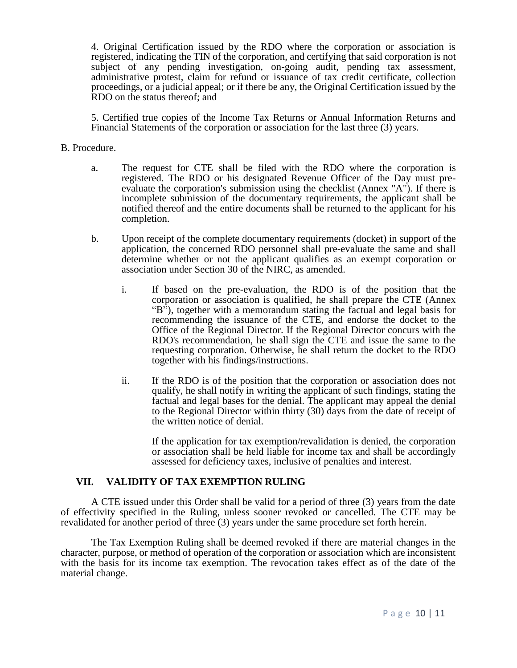4. Original Certification issued by the RDO where the corporation or association is registered, indicating the TIN of the corporation, and certifying that said corporation is not subject of any pending investigation, on-going audit, pending tax assessment, administrative protest, claim for refund or issuance of tax credit certificate, collection proceedings, or a judicial appeal; or if there be any, the Original Certification issued by the RDO on the status thereof; and

5. Certified true copies of the Income Tax Returns or Annual Information Returns and Financial Statements of the corporation or association for the last three (3) years.

#### B. Procedure.

- a. The request for CTE shall be filed with the RDO where the corporation is registered. The RDO or his designated Revenue Officer of the Day must preevaluate the corporation's submission using the checklist (Annex "A"). If there is incomplete submission of the documentary requirements, the applicant shall be notified thereof and the entire documents shall be returned to the applicant for his completion.
- b. Upon receipt of the complete documentary requirements (docket) in support of the application, the concerned RDO personnel shall pre-evaluate the same and shall determine whether or not the applicant qualifies as an exempt corporation or association under Section 30 of the NIRC, as amended.
	- i. If based on the pre-evaluation, the RDO is of the position that the corporation or association is qualified, he shall prepare the CTE (Annex "B"), together with a memorandum stating the factual and legal basis for recommending the issuance of the CTE, and endorse the docket to the Office of the Regional Director. If the Regional Director concurs with the RDO's recommendation, he shall sign the CTE and issue the same to the requesting corporation. Otherwise, he shall return the docket to the RDO together with his findings/instructions.
	- ii. If the RDO is of the position that the corporation or association does not qualify, he shall notify in writing the applicant of such findings, stating the factual and legal bases for the denial. The applicant may appeal the denial to the Regional Director within thirty (30) days from the date of receipt of the written notice of denial.

If the application for tax exemption/revalidation is denied, the corporation or association shall be held liable for income tax and shall be accordingly assessed for deficiency taxes, inclusive of penalties and interest.

## **VII. VALIDITY OF TAX EXEMPTION RULING**

A CTE issued under this Order shall be valid for a period of three (3) years from the date of effectivity specified in the Ruling, unless sooner revoked or cancelled. The CTE may be revalidated for another period of three (3) years under the same procedure set forth herein.

The Tax Exemption Ruling shall be deemed revoked if there are material changes in the character, purpose, or method of operation of the corporation or association which are inconsistent with the basis for its income tax exemption. The revocation takes effect as of the date of the material change.